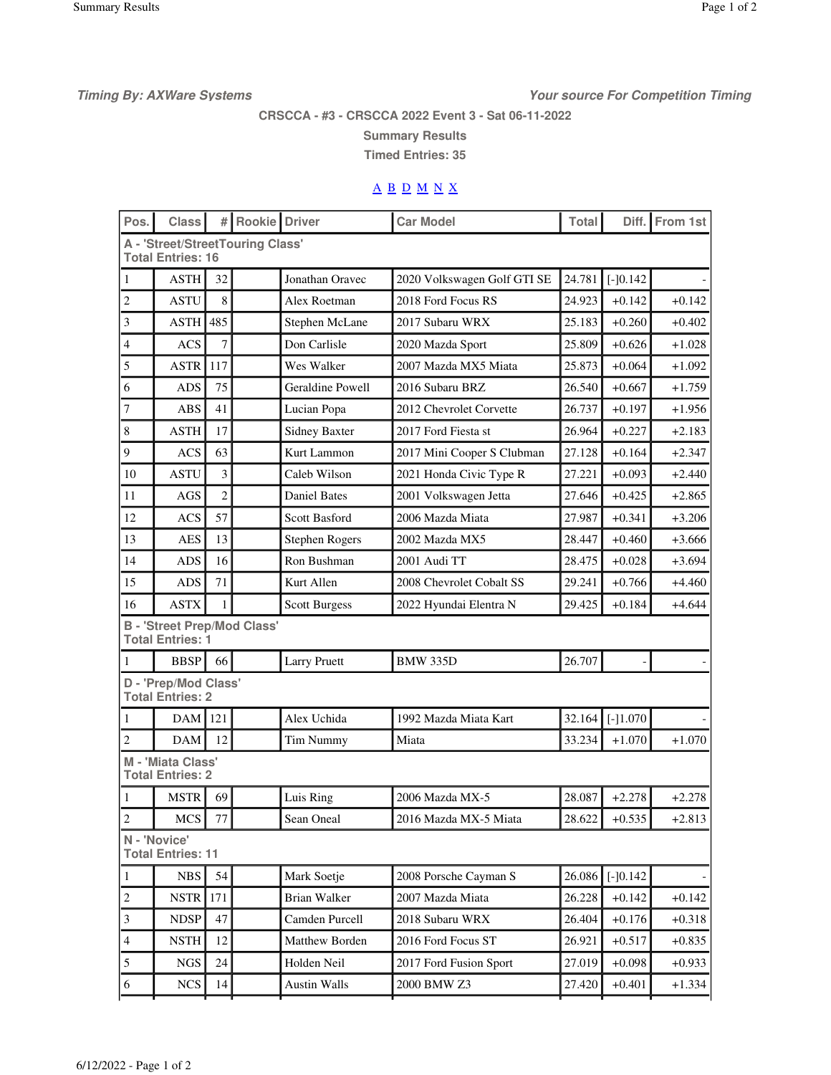**Timing By: AXWare Systems Your source For Competition Timing**

**CRSCCA - #3 - CRSCCA 2022 Event 3 - Sat 06-11-2022**

**Summary Results**

**Timed Entries: 35**

## $A B D M N X$

| Pos.                                                          | <b>Class</b>                                    |                | # Rookie Driver |                         | <b>Car Model</b>            | Total  |            | Diff. From 1st |  |  |  |
|---------------------------------------------------------------|-------------------------------------------------|----------------|-----------------|-------------------------|-----------------------------|--------|------------|----------------|--|--|--|
| A - 'Street/StreetTouring Class'<br><b>Total Entries: 16</b>  |                                                 |                |                 |                         |                             |        |            |                |  |  |  |
| $\mathbf{1}$                                                  | <b>ASTH</b>                                     | 32             |                 | Jonathan Oravec         | 2020 Volkswagen Golf GTI SE | 24.781 | $[-]0.142$ |                |  |  |  |
| $\overline{2}$                                                | ASTU                                            | 8              |                 | Alex Roetman            | 2018 Ford Focus RS          | 24.923 | $+0.142$   | $+0.142$       |  |  |  |
| $\mathfrak{Z}$                                                | <b>ASTH</b>                                     | 485            |                 | Stephen McLane          | 2017 Subaru WRX             | 25.183 | $+0.260$   | $+0.402$       |  |  |  |
| 4                                                             | <b>ACS</b>                                      | $\tau$         |                 | Don Carlisle            | 2020 Mazda Sport            | 25.809 | $+0.626$   | $+1.028$       |  |  |  |
| $\mathfrak s$                                                 | <b>ASTR</b>                                     | 117            |                 | Wes Walker              | 2007 Mazda MX5 Miata        | 25.873 | $+0.064$   | $+1.092$       |  |  |  |
| 6                                                             | ADS                                             | 75             |                 | <b>Geraldine Powell</b> | 2016 Subaru BRZ             | 26.540 | $+0.667$   | $+1.759$       |  |  |  |
| 7                                                             | <b>ABS</b>                                      | 41             |                 | Lucian Popa             | 2012 Chevrolet Corvette     | 26.737 | $+0.197$   | $+1.956$       |  |  |  |
| 8                                                             | ASTH                                            | 17             |                 | <b>Sidney Baxter</b>    | 2017 Ford Fiesta st         | 26.964 | $+0.227$   | $+2.183$       |  |  |  |
| 9                                                             | <b>ACS</b>                                      | 63             |                 | Kurt Lammon             | 2017 Mini Cooper S Clubman  | 27.128 | $+0.164$   | $+2.347$       |  |  |  |
| 10                                                            | <b>ASTU</b>                                     | 3              |                 | Caleb Wilson            | 2021 Honda Civic Type R     | 27.221 | $+0.093$   | $+2.440$       |  |  |  |
| 11                                                            | AGS                                             | $\overline{2}$ |                 | <b>Daniel Bates</b>     | 2001 Volkswagen Jetta       | 27.646 | $+0.425$   | $+2.865$       |  |  |  |
| 12                                                            | <b>ACS</b>                                      | 57             |                 | Scott Basford           | 2006 Mazda Miata            | 27.987 | $+0.341$   | $+3.206$       |  |  |  |
| 13                                                            | <b>AES</b>                                      | 13             |                 | <b>Stephen Rogers</b>   | 2002 Mazda MX5              | 28.447 | $+0.460$   | $+3.666$       |  |  |  |
| 14                                                            | ADS.                                            | 16             |                 | Ron Bushman             | 2001 Audi TT                | 28.475 | $+0.028$   | $+3.694$       |  |  |  |
| 15                                                            | <b>ADS</b>                                      | 71             |                 | Kurt Allen              | 2008 Chevrolet Cobalt SS    | 29.241 | $+0.766$   | $+4.460$       |  |  |  |
| 16                                                            | <b>ASTX</b>                                     | $\mathbf{1}$   |                 | <b>Scott Burgess</b>    | 2022 Hyundai Elentra N      | 29.425 | $+0.184$   | $+4.644$       |  |  |  |
| <b>B</b> - 'Street Prep/Mod Class'<br><b>Total Entries: 1</b> |                                                 |                |                 |                         |                             |        |            |                |  |  |  |
| $\mathbf{1}$                                                  | <b>BBSP</b>                                     | 66             |                 | <b>Larry Pruett</b>     | <b>BMW 335D</b>             | 26.707 |            |                |  |  |  |
|                                                               | D - 'Prep/Mod Class'<br><b>Total Entries: 2</b> |                |                 |                         |                             |        |            |                |  |  |  |
| 1                                                             | DAM                                             | 121            |                 | Alex Uchida             | 1992 Mazda Miata Kart       | 32.164 | $[-]1.070$ |                |  |  |  |
| $\overline{2}$                                                | DAM                                             | 12             |                 | Tim Nummy               | Miata                       | 33.234 | $+1.070$   | $+1.070$       |  |  |  |
| M - 'Miata Class'<br><b>Total Entries: 2</b>                  |                                                 |                |                 |                         |                             |        |            |                |  |  |  |
| $\mathbf{1}$                                                  | <b>MSTR</b>                                     | 69             |                 | Luis Ring               | 2006 Mazda MX-5             | 28.087 | $+2.278$   | $+2.278$       |  |  |  |
| $\overline{c}$                                                | MCS                                             | 77             |                 | Sean Oneal              | 2016 Mazda MX-5 Miata       | 28.622 | $+0.535$   | $+2.813$       |  |  |  |
| N - 'Novice'<br><b>Total Entries: 11</b>                      |                                                 |                |                 |                         |                             |        |            |                |  |  |  |
| $\mathbf{1}$                                                  | <b>NBS</b>                                      | 54             |                 | Mark Soetje             | 2008 Porsche Cayman S       | 26.086 | $[-]0.142$ |                |  |  |  |
| $\sqrt{2}$                                                    | <b>NSTR</b>                                     | 171            |                 | <b>Brian Walker</b>     | 2007 Mazda Miata            | 26.228 | $+0.142$   | $+0.142$       |  |  |  |
| $\mathfrak{Z}$                                                | <b>NDSP</b>                                     | 47             |                 | Camden Purcell          | 2018 Subaru WRX             | 26.404 | $+0.176$   | $+0.318$       |  |  |  |
| $\overline{4}$                                                | NSTH                                            | 12             |                 | Matthew Borden          | 2016 Ford Focus ST          | 26.921 | $+0.517$   | $+0.835$       |  |  |  |
| 5                                                             | NGS                                             | 24             |                 | Holden Neil             | 2017 Ford Fusion Sport      | 27.019 | $+0.098$   | $+0.933$       |  |  |  |
| $\sqrt{6}$                                                    | <b>NCS</b>                                      | 14             |                 | Austin Walls            | 2000 BMW Z3                 | 27.420 | $+0.401$   | $+1.334$       |  |  |  |
|                                                               |                                                 |                |                 |                         |                             |        |            |                |  |  |  |